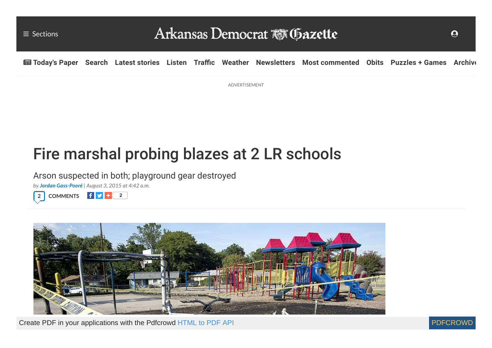

ADVERTISEMENT

# Fire marshal probing blazes at 2 LR schools

Arson suspected in both; playground gear destroyed

*by Jordan [Gass-Pooré](https://www.arkansasonline.com/staff/jordan-gass-poore/) | August 3, 2015 at 4:42 a.m.*





Create PDF in your applications with the Pdfcrowd [HTML to PDF API](https://pdfcrowd.com/doc/api/?ref=pdf) [PDFCROWD](https://pdfcrowd.com/?ref=pdf) Create PDF in your applications with the Pdfcrowd HTML to PDF API

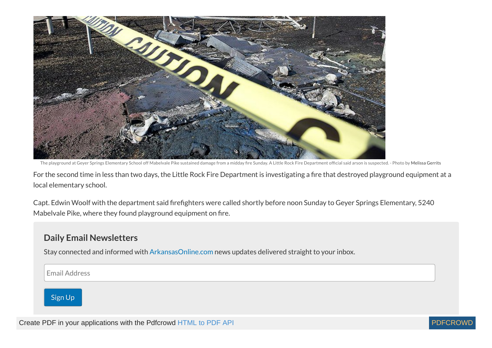

The playground at Geyer Springs Elementary School off Mabelvale Pike sustained damage from a midday fire Sunday. A Little Rock Fire Department official said arson is suspected. - Photo by [Melissa](https://www.arkansasonline.com/staff/melissa-gerrits/) Gerrits

For the second time in less than two days, the Little Rock Fire Department is investigating a fire that destroyed playground equipment at a local elementary school.

Capt. Edwin Woolf with the department said firefighters were called shortly before noon Sunday to Geyer Springs Elementary, 5240 Mabelvale Pike, where they found playground equipment on fire.

## **Daily Email Newsletters**

Stay connected and informed with [ArkansasOnline.com](http://www.arkansasonline.com/) news updates delivered straight to your inbox.

Email Address

Sign Up

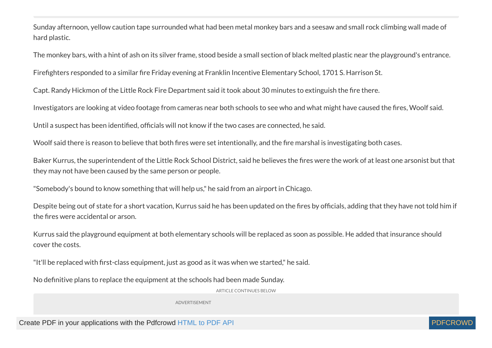Sunday afternoon, yellow caution tape surrounded what had been metal monkey bars and a seesaw and small rock climbing wall made of hard plastic.

The monkey bars, with a hint of ash on its silver frame, stood beside a small section of black melted plastic near the playground's entrance.

Firefighters responded to a similar fire Friday evening at Franklin Incentive Elementary School, 1701 S. Harrison St.

Capt. Randy Hickmon of the Little Rock Fire Department said it took about 30 minutes to extinguish the fire there.

Investigators are looking at video footage from cameras near both schools to see who and what might have caused the fires, Woolf said.

Until a suspect has been identified, officials will not know if the two cases are connected, he said.

Woolf said there is reason to believe that both fires were set intentionally, and the fire marshal is investigating both cases.

Baker Kurrus, the superintendent of the Little Rock School District, said he believes the fires were the work of at least one arsonist but that they may not have been caused by the same person or people.

"Somebody's bound to know something that will help us," he said from an airport in Chicago.

Despite being out of state for a short vacation, Kurrus said he has been updated on the fires by officials, adding that they have not told him if the fires were accidental or arson.

Kurrus said the playground equipment at both elementary schools will be replaced as soon as possible. He added that insurance should cover the costs.

"It'll be replaced with first-class equipment, just as good as it was when we started," he said.

No definitive plans to replace the equipment at the schools had been made Sunday.

ARTICLE CONTINUES BELOW

ADVERTISEMENT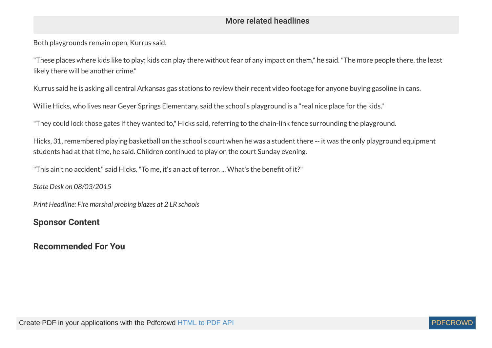## More related headlines

Both playgrounds remain open, Kurrus said.

"These places where kids like to play; kids can play there without fear of any impact on them," he said."The more people there, the least likely there will be another crime."

Kurrus said he is asking all central Arkansas gas stations to review their recent video footage for anyone buying gasoline in cans.

Willie Hicks, who lives near Geyer Springs Elementary, said the school's playground is a "real nice place for the kids."

"They could lock those gates if they wanted to," Hicks said, referring to the chain-link fence surrounding the playground.

Hicks, 31, remembered playing basketball on the school's court when he was a student there -- it was the only playground equipment students had at that time, he said. Children continued to play on the court Sunday evening.

"This ain't no accident," said Hicks. "To me, it's an act of terror. ... What's the benefit of it?"

*State Desk on 08/03/2015*

*Print Headline: Fire marshal probing blazes at 2 LR schools*

## **Sponsor Content**

## **Recommended For You**

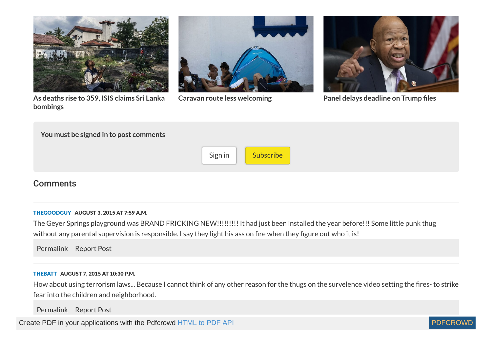



**As deaths rise to 359, ISIS claims Sri Lanka [bombings](https://www.arkansasonline.com/news/2019/apr/24/isis-claims-responsibility-for-bombings/)**

**Caravan route less [welcoming](https://www.arkansasonline.com/news/2019/apr/24/caravan-route-less-welcoming-20190424/) Panel delays [deadline](https://www.arkansasonline.com/news/2019/apr/24/panel-delays-deadline-on-trump-files-20/) on Trump les**

| You must be signed in to post comments |         |           |
|----------------------------------------|---------|-----------|
|                                        | Sign in | Subscribe |

## **Comments**

#### <span id="page-4-1"></span><span id="page-4-0"></span>[THEGOODGUY](https://www.arkansasonline.com/users/TheGoodGuy/) AUGUST 3, 2015 AT 7:59 A.M.

The Geyer Springs playground was BRAND FRICKING NEW!!!!!!!!! It had just been installed the year before!!! Some little punk thug without any parental supervision is responsible. I say they light his ass on fire when they figure out who it is!

[Permalink](#page-4-1) [Report](https://www.arkansasonline.com/comments/flag/269623/) Post

#### <span id="page-4-2"></span>[THEBATT](https://www.arkansasonline.com/users/TheBatt/) AUGUST 7, 2015 AT 10:30 P.M.

How about using terrorism laws... Because I cannot think of any other reason for the thugs on the survelence video setting the fires- to strike fear into the children and neighborhood.

[Permalink](#page-4-2) [Report](https://www.arkansasonline.com/comments/flag/270200/) Post

Create PDF in your applications with the Pdfcrowd [HTML to PDF API](https://pdfcrowd.com/doc/api/?ref=pdf) PDF API [PDFCROWD](https://pdfcrowd.com/?ref=pdf) PDFCROWD

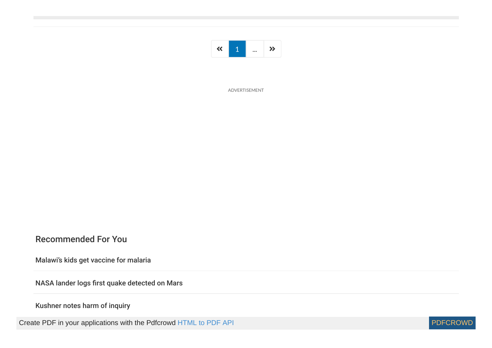

ADVERTISEMENT

### Recommended For You

[Malawi's kids get vaccine for malaria](https://www.arkansasonline.com/news/2019/apr/24/malawis-kids-get-vaccine-malaria/)

NASA lander logs first quake detected on Mars

#### [Kushner notes harm of inquiry](https://www.arkansasonline.com/news/2019/apr/24/kushner-notes-harm-of-inquiry-20190424/)

Create PDF in your applications with the Pdfcrowd [HTML to PDF API](https://pdfcrowd.com/doc/api/?ref=pdf) [PDFCROWD](https://pdfcrowd.com/?ref=pdf) Create PDF in your applications with the Pdfcrowd HTML to PDF API

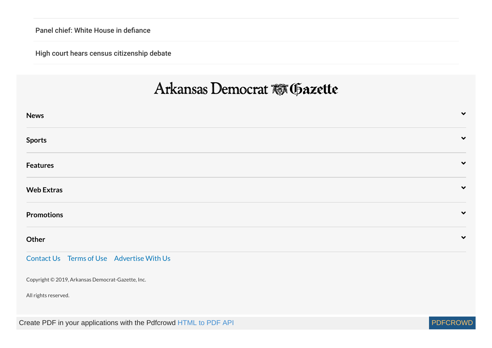Panel chief: White House in defiance

[High court hears census citizenship debate](https://www.arkansasonline.com/news/2019/apr/24/high-court-hears-census-citizenship-deb/)

## Arkansas Democrat & Gazette

| <b>News</b>                                                       | $\checkmark$ |
|-------------------------------------------------------------------|--------------|
| <b>Sports</b>                                                     | $\checkmark$ |
| <b>Features</b>                                                   | $\checkmark$ |
| <b>Web Extras</b>                                                 | $\checkmark$ |
| <b>Promotions</b>                                                 | $\checkmark$ |
| Other                                                             | $\checkmark$ |
| Contact Us Terms of Use Advertise With Us                         |              |
| Copyright © 2019, Arkansas Democrat-Gazette, Inc.                 |              |
| All rights reserved.                                              |              |
| Create PDF in your applications with the Pdfcrowd HTML to PDF API | PDFCROW      |